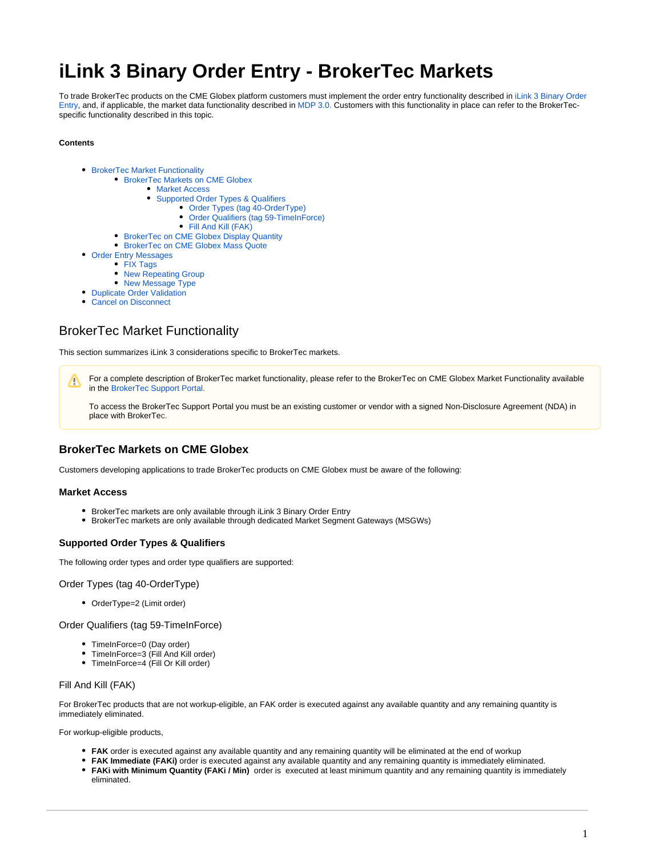# **iLink 3 Binary Order Entry - BrokerTec Markets**

To trade BrokerTec products on the CME Globex platform customers must implement the order entry functionality described in [iLink 3 Binary Order](https://www.cmegroup.com/confluence/display/EPICSANDBOX/iLink+3+Binary+Order+Entry)  [Entry](https://www.cmegroup.com/confluence/display/EPICSANDBOX/iLink+3+Binary+Order+Entry), and, if applicable, the market data functionality described in [MDP 3.0.](https://wiki.chicago.cme.com/confluence/display/EPICSANDBOX/CME+MDP+3.0+Market+Data) Customers with this functionality in place can refer to the BrokerTecspecific functionality described in this topic.

#### **Contents**

- [BrokerTec Market Functionality](#page-0-0)
	- [BrokerTec Markets on CME Globex](#page-0-1)
		- [Market Access](#page-0-2)
		- [Supported Order Types & Qualifiers](#page-0-3)
			- [Order Types \(tag 40-OrderType\)](#page-0-4)
				- [Order Qualifiers \(tag 59-TimeInForce\)](#page-0-5)
				- [Fill And Kill \(FAK\)](#page-0-6)
	- [BrokerTec on CME Globex Display Quantity](#page-1-0)
	- [BrokerTec on CME Globex Mass Quote](#page-1-1)
- [Order Entry Messages](#page-2-0)
	- [FIX Tags](#page-2-1)
		- [New Repeating Group](#page-4-0)
	- [New Message Type](#page-6-0)
- **[Duplicate Order Validation](#page-6-1)**
- [Cancel on Disconnect](#page-7-0)

## <span id="page-0-0"></span>BrokerTec Market Functionality

This section summarizes iLink 3 considerations specific to BrokerTec markets.

For a complete description of BrokerTec market functionality, please refer to the BrokerTec on CME Globex Market Functionality available ∧ in the [BrokerTec Support Portal](https://support.brokertec.com/Repository/omnet-api/integrationofbrokertecontocmeglobex).

To access the BrokerTec Support Portal you must be an existing customer or vendor with a signed Non-Disclosure Agreement (NDA) in place with BrokerTec.

## <span id="page-0-1"></span>**BrokerTec Markets on CME Globex**

Customers developing applications to trade BrokerTec products on CME Globex must be aware of the following:

#### <span id="page-0-2"></span>**Market Access**

- BrokerTec markets are only available through iLink 3 Binary Order Entry
- **BrokerTec markets are only available through dedicated Market Segment Gateways (MSGWs)**

#### <span id="page-0-3"></span>**Supported Order Types & Qualifiers**

The following order types and order type qualifiers are supported:

<span id="page-0-4"></span>Order Types (tag 40-OrderType)

• OrderType=2 (Limit order)

<span id="page-0-5"></span>Order Qualifiers (tag 59-TimeInForce)

- TimeInForce=0 (Day order)
- TimeInForce=3 (Fill And Kill order)
- TimeInForce=4 (Fill Or Kill order)

#### <span id="page-0-6"></span>Fill And Kill (FAK)

For BrokerTec products that are not workup-eligible, an FAK order is executed against any available quantity and any remaining quantity is immediately eliminated.

For workup-eligible products,

- FAK order is executed against any available quantity and any remaining quantity will be eliminated at the end of workup
- **FAK Immediate (FAKi)** order is executed against any available quantity and any remaining quantity is immediately eliminated. **FAKi with Minimum Quantity (FAKi / Min)** order is executed at least minimum quantity and any remaining quantity is immediately eliminated.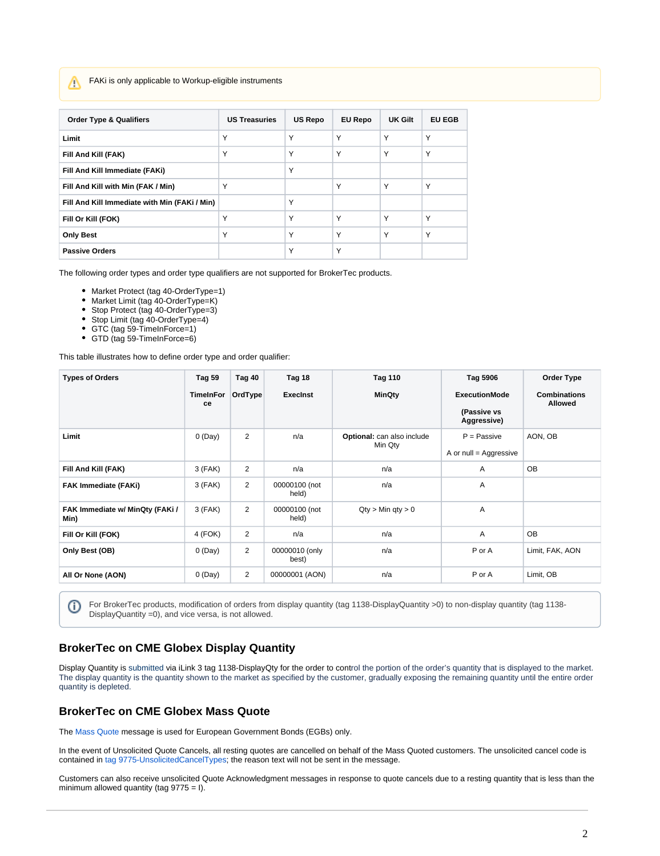FAKi is only applicable to Workup-eligible instruments

Λ

Ф

| <b>Order Type &amp; Qualifiers</b>            | <b>US Treasuries</b> | <b>US Repo</b> | <b>EU Repo</b> | UK Gilt | <b>EU EGB</b> |
|-----------------------------------------------|----------------------|----------------|----------------|---------|---------------|
| Limit                                         | Υ                    | Y              | Υ              | Υ       | Υ             |
| Fill And Kill (FAK)                           | Υ                    | Y              | Υ              | Υ       | Υ             |
| Fill And Kill Immediate (FAKi)                |                      | Y              |                |         |               |
| Fill And Kill with Min (FAK / Min)            | Y                    |                | Υ              | Υ       | Υ             |
| Fill And Kill Immediate with Min (FAKi / Min) |                      | Υ              |                |         |               |
| Fill Or Kill (FOK)                            | Υ                    | Y              | Y              | Υ       | Υ             |
| <b>Only Best</b>                              | Υ                    | Y              | Y              | Υ       | Υ             |
| <b>Passive Orders</b>                         |                      | Y              | Υ              |         |               |

The following order types and order type qualifiers are not supported for BrokerTec products.

- Market Protect (tag 40-OrderType=1)
- Market Limit (tag 40-OrderType=K)
- $\bullet$ Stop Protect (tag 40-OrderType=3)
- Stop Limit (tag 40-OrderType=4)  $\bullet$
- GTC (tag 59-TimeInForce=1)  $\bullet$
- GTD (tag 59-TimeInForce=6)

This table illustrates how to define order type and order qualifier:

| <b>Types of Orders</b>                  | <b>Tag 59</b>          | Tag 40         | Tag 18                  | <b>Tag 110</b>                        | Tag 5906                        | Order Type                            |
|-----------------------------------------|------------------------|----------------|-------------------------|---------------------------------------|---------------------------------|---------------------------------------|
|                                         | <b>TimeInFor</b><br>ce | OrdType        | <b>Execinst</b>         | <b>MinQty</b>                         | <b>ExecutionMode</b>            | <b>Combinations</b><br><b>Allowed</b> |
|                                         |                        |                |                         |                                       | (Passive vs<br>Aggressive)      |                                       |
| Limit                                   | 0(Day)                 | $\overline{2}$ | n/a                     | Optional: can also include<br>Min Qty | $P =$ Passive                   | AON, OB                               |
|                                         |                        |                |                         |                                       | A or $null = \text{Aggressive}$ |                                       |
| Fill And Kill (FAK)                     | $3$ (FAK)              | $\overline{2}$ | n/a                     | n/a                                   | $\overline{A}$                  | <b>OB</b>                             |
| <b>FAK Immediate (FAKi)</b>             | $3$ (FAK)              | $\overline{2}$ | 00000100 (not<br>held)  | n/a                                   | A                               |                                       |
| FAK Immediate w/ MinQty (FAKi /<br>Min) | 3 (FAK)                | $\overline{2}$ | 00000100 (not<br>held)  | $Qty > Min$ qty $> 0$                 | A                               |                                       |
| Fill Or Kill (FOK)                      | 4 (FOK)                | $\overline{2}$ | n/a                     | n/a                                   | A                               | <b>OB</b>                             |
| Only Best (OB)                          | 0(Day)                 | $\overline{2}$ | 00000010 (only<br>best) | n/a                                   | P or A                          | Limit, FAK, AON                       |
| All Or None (AON)                       | 0(Day)                 | $\overline{2}$ | 00000001 (AON)          | n/a                                   | P or A                          | Limit, OB                             |

For BrokerTec products, modification of orders from display quantity (tag 1138-DisplayQuantity >0) to non-display quantity (tag 1138- DisplayQuantity =0), and vice versa, is not allowed.

### <span id="page-1-0"></span>**BrokerTec on CME Globex Display Quantity**

Display Quantity is submitted via iLink 3 tag 1138-DisplayQty for the order to control the portion of the order's quantity that is displayed to the market. The display quantity is the quantity shown to the market as specified by the customer, gradually exposing the remaining quantity until the entire order quantity is depleted.

## <span id="page-1-1"></span>**BrokerTec on CME Globex Mass Quote**

The [Mass Quote](https://www.cmegroup.com/confluence/display/EPICSANDBOX/iLink+3+Mass+Quote) message is used for European Government Bonds (EGBs) only.

In the event of Unsolicited Quote Cancels, all resting quotes are cancelled on behalf of the Mass Quoted customers. The unsolicited cancel code is contained in [tag 9775-UnsolicitedCancelTypes](https://www.cmegroup.com/confluence/display/EPICSANDBOX/iLink+2+Tag+9775-UnsolicitedCancelTypes+Table+of+Values); the reason text will not be sent in the message.

Customers can also receive unsolicited Quote Acknowledgment messages in response to quote cancels due to a resting quantity that is less than the minimum allowed quantity (tag  $9775 = I$ ).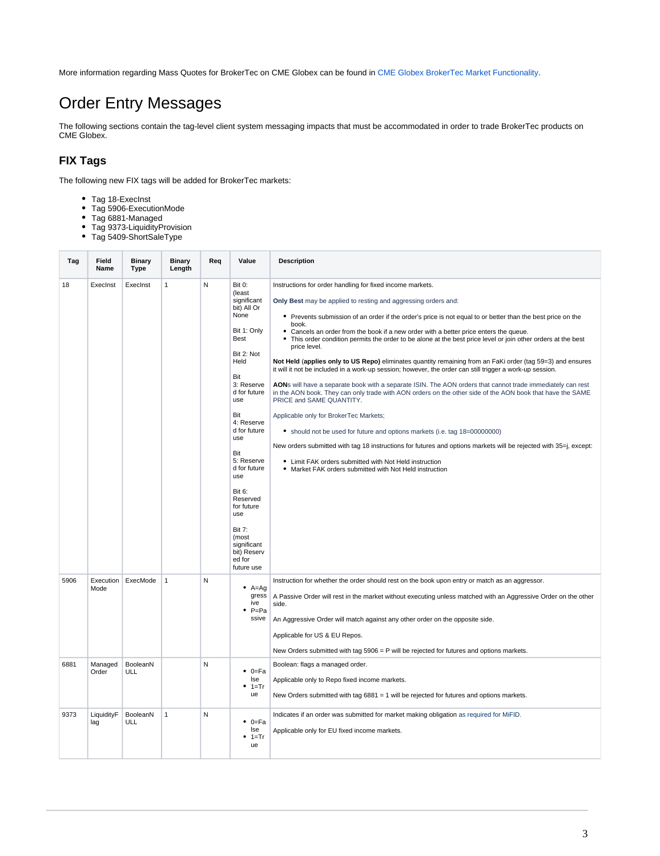More information regarding Mass Quotes for BrokerTec on CME Globex can be found in [CME Globex BrokerTec Market Functionality](https://support.nex.com/Repository/omnet-api/integrationofbrokertecontocmeglobex/marketfunctionality/).

## <span id="page-2-0"></span>Order Entry Messages

The following sections contain the tag-level client system messaging impacts that must be accommodated in order to trade BrokerTec products on CME Globex.

## <span id="page-2-1"></span>**FIX Tags**

The following new FIX tags will be added for BrokerTec markets:

- Tag 18-Execlnst
- Tag 5906-ExecutionMode
- Tag 6881-Managed
- Tag 9373-LiquidityProvision Tag 5409-ShortSaleType

| Tag  | Field<br>Name     | <b>Binary</b><br>Type | Binary<br>Length | Req | Value                                                                                                                                                                                                                                                                                                                                                                            | <b>Description</b>                                                                                                                                                                                                                                                                                                                                                                                                                                                                                                                                                                                                                                                                                                                                                                                                                                                                                                                                                                                                                                                                                                                                                                                                                                                                                                               |
|------|-------------------|-----------------------|------------------|-----|----------------------------------------------------------------------------------------------------------------------------------------------------------------------------------------------------------------------------------------------------------------------------------------------------------------------------------------------------------------------------------|----------------------------------------------------------------------------------------------------------------------------------------------------------------------------------------------------------------------------------------------------------------------------------------------------------------------------------------------------------------------------------------------------------------------------------------------------------------------------------------------------------------------------------------------------------------------------------------------------------------------------------------------------------------------------------------------------------------------------------------------------------------------------------------------------------------------------------------------------------------------------------------------------------------------------------------------------------------------------------------------------------------------------------------------------------------------------------------------------------------------------------------------------------------------------------------------------------------------------------------------------------------------------------------------------------------------------------|
| 18   | ExecInst          | ExecInst              | $\mathbf{1}$     | N   | <b>Bit 0:</b><br>(least<br>significant<br>bit) All Or<br>None<br>Bit 1: Only<br>Best<br>Bit 2: Not<br>Held<br>Bit<br>3: Reserve<br>d for future<br>use<br>Bit<br>4: Reserve<br>d for future<br>use<br>Bit<br>5: Reserve<br>d for future<br>use<br><b>Bit 6:</b><br>Reserved<br>for future<br>use<br><b>Bit 7:</b><br>(most<br>significant<br>bit) Reserv<br>ed for<br>future use | Instructions for order handling for fixed income markets.<br>Only Best may be applied to resting and aggressing orders and:<br>• Prevents submission of an order if the order's price is not equal to or better than the best price on the<br>book.<br>• Cancels an order from the book if a new order with a better price enters the queue.<br>• This order condition permits the order to be alone at the best price level or join other orders at the best<br>price level.<br>Not Held (applies only to US Repo) eliminates quantity remaining from an FaKi order (tag 59=3) and ensures<br>it will it not be included in a work-up session; however, the order can still trigger a work-up session.<br>AONs will have a separate book with a separate ISIN. The AON orders that cannot trade immediately can rest<br>in the AON book. They can only trade with AON orders on the other side of the AON book that have the SAME<br>PRICE and SAME QUANTITY.<br>Applicable only for BrokerTec Markets;<br>• should not be used for future and options markets (i.e. tag 18=00000000)<br>New orders submitted with tag 18 instructions for futures and options markets will be rejected with 35=j, except:<br>• Limit FAK orders submitted with Not Held instruction<br>• Market FAK orders submitted with Not Held instruction |
| 5906 | Execution<br>Mode | ExecMode              | $\mathbf{1}$     | N   | $A = Ag$<br>gress<br>ive<br>$\bullet$ P=Pa<br>ssive                                                                                                                                                                                                                                                                                                                              | Instruction for whether the order should rest on the book upon entry or match as an aggressor.<br>A Passive Order will rest in the market without executing unless matched with an Aggressive Order on the other<br>side.<br>An Aggressive Order will match against any other order on the opposite side.<br>Applicable for US & EU Repos.<br>New Orders submitted with tag $5906 = P$ will be rejected for futures and options markets.                                                                                                                                                                                                                                                                                                                                                                                                                                                                                                                                                                                                                                                                                                                                                                                                                                                                                         |
| 6881 | Managed<br>Order  | BooleanN<br>ULL       |                  | N   | ٠<br>0=Fa<br><b>Ise</b><br>$• 1 = Tr$<br>ue                                                                                                                                                                                                                                                                                                                                      | Boolean: flags a managed order.<br>Applicable only to Repo fixed income markets.<br>New Orders submitted with tag $6881 = 1$ will be rejected for futures and options markets.                                                                                                                                                                                                                                                                                                                                                                                                                                                                                                                                                                                                                                                                                                                                                                                                                                                                                                                                                                                                                                                                                                                                                   |
| 9373 | LiquidityF<br>lag | BooleanN<br>ULL       | $\mathbf{1}$     | N   | $0 = Fa$<br>٠<br>lse<br>1=Tr<br>ue                                                                                                                                                                                                                                                                                                                                               | Indicates if an order was submitted for market making obligation as required for MiFID.<br>Applicable only for EU fixed income markets.                                                                                                                                                                                                                                                                                                                                                                                                                                                                                                                                                                                                                                                                                                                                                                                                                                                                                                                                                                                                                                                                                                                                                                                          |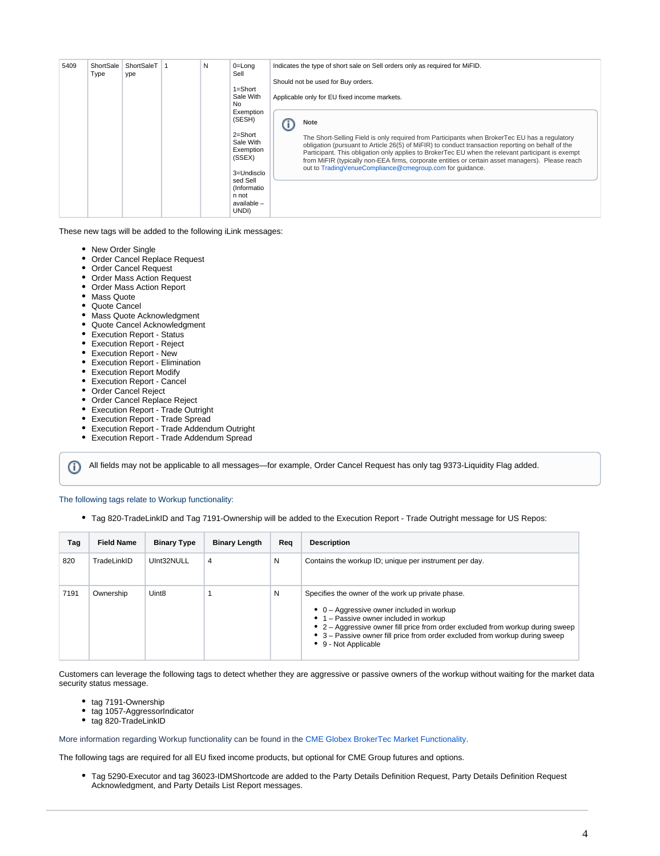| 5409 | ShortSale<br>Type | ShortSaleT<br>ype | N | $0 = Long$<br>Sell<br>$1 =$ Short<br>Sale With<br>No.<br>Exemption<br>(SESH)<br>$2 =$ Short<br>Sale With<br>Exemption<br>(SSEX)<br>3=Undisclo | Indicates the type of short sale on Sell orders only as required for MiFID.<br>Should not be used for Buy orders.<br>Applicable only for EU fixed income markets.<br>Note<br>The Short-Selling Field is only required from Participants when BrokerTec EU has a regulatory<br>obligation (pursuant to Article 26(5) of MiFIR) to conduct transaction reporting on behalf of the<br>Participant. This obligation only applies to BrokerTec EU when the relevant participant is exempt<br>from MiFIR (typically non-EEA firms, corporate entities or certain asset managers). Please reach<br>out to TradingVenueCompliance@cmegroup.com for quidance. |
|------|-------------------|-------------------|---|-----------------------------------------------------------------------------------------------------------------------------------------------|------------------------------------------------------------------------------------------------------------------------------------------------------------------------------------------------------------------------------------------------------------------------------------------------------------------------------------------------------------------------------------------------------------------------------------------------------------------------------------------------------------------------------------------------------------------------------------------------------------------------------------------------------|
|      |                   |                   |   | sed Sell<br>(Informatio<br>n not<br>available -<br>UNDI)                                                                                      |                                                                                                                                                                                                                                                                                                                                                                                                                                                                                                                                                                                                                                                      |

These new tags will be added to the following iLink messages:

- New Order Single
- Order Cancel Replace Request
- Order Cancel Request
- Order Mass Action Request
- Order Mass Action Report
- Mass Quote
- Quote Cancel
- Mass Quote Acknowledgment
- Quote Cancel Acknowledgment
- Execution Report Status
- Execution Report Reject
- Execution Report New
- Execution Report Elimination
- Execution Report Modify
- Execution Report Cancel
- Order Cancel Reject
- Order Cancel Replace Reject

ന

- Execution Report Trade Outright
- Execution Report Trade Spread
- Execution Report Trade Addendum Outright
- Execution Report Trade Addendum Spread

All fields may not be applicable to all messages—for example, Order Cancel Request has only tag 9373-Liquidity Flag added.

The following tags relate to Workup functionality:

Tag 820-TradeLinkID and Tag 7191-Ownership will be added to the Execution Report - Trade Outright message for US Repos:

| Tag  | <b>Field Name</b> | <b>Binary Type</b> | <b>Binary Length</b> | Rea | <b>Description</b>                                                                                                                                                                                                                                                                                                                          |
|------|-------------------|--------------------|----------------------|-----|---------------------------------------------------------------------------------------------------------------------------------------------------------------------------------------------------------------------------------------------------------------------------------------------------------------------------------------------|
| 820  | TradeLinkID       | UInt32NULL         | 4                    | N   | Contains the workup ID; unique per instrument per day.                                                                                                                                                                                                                                                                                      |
| 7191 | Ownership         | Uint <sub>8</sub>  |                      | N   | Specifies the owner of the work up private phase.<br>$\bullet$ 0 – Aggressive owner included in workup<br>• 1 – Passive owner included in workup<br>• $2 -$ Aggressive owner fill price from order excluded from workup during sweep<br>• 3 – Passive owner fill price from order excluded from workup during sweep<br>• 9 - Not Applicable |

Customers can leverage the following tags to detect whether they are aggressive or passive owners of the workup without waiting for the market data security status message.

- tag 7191-Ownership
- tag 1057-AggressorIndicator
- tag 820-TradeLinkID

More information regarding Workup functionality can be found in the [CME Globex BrokerTec Market Functionality.](https://go.cmegroup.com/e/502091/cmeglobex-marketfunctionality-/25tc7t5/576510222?h=2TfN2-D45_Idatn94zpMwMhSWxe4S2qaQE6WAHPaFOc)

The following tags are required for all EU fixed income products, but optional for CME Group futures and options.

Tag 5290-Executor and tag 36023-IDMShortcode are added to the Party Details Definition Request, Party Details Definition Request Acknowledgment, and Party Details List Report messages.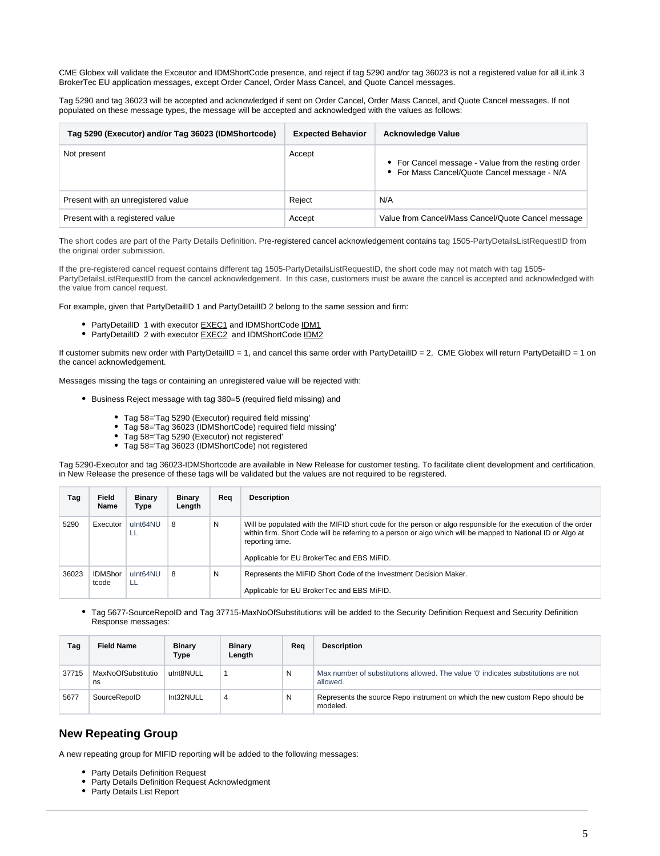CME Globex will validate the Exceutor and IDMShortCode presence, and reject if tag 5290 and/or tag 36023 is not a registered value for all iLink 3 BrokerTec EU application messages, except Order Cancel, Order Mass Cancel, and Quote Cancel messages.

Tag 5290 and tag 36023 will be accepted and acknowledged if sent on Order Cancel, Order Mass Cancel, and Quote Cancel messages. If not populated on these message types, the message will be accepted and acknowledged with the values as follows:

| Tag 5290 (Executor) and/or Tag 36023 (IDMShortcode) | <b>Expected Behavior</b> | <b>Acknowledge Value</b>                                                                            |
|-----------------------------------------------------|--------------------------|-----------------------------------------------------------------------------------------------------|
| Not present                                         | Accept                   | • For Cancel message - Value from the resting order<br>• For Mass Cancel/Quote Cancel message - N/A |
| Present with an unregistered value                  | Reject                   | N/A                                                                                                 |
| Present with a registered value                     | Accept                   | Value from Cancel/Mass Cancel/Quote Cancel message                                                  |

The short codes are part of the Party Details Definition. Pre-registered cancel acknowledgement contains tag 1505-PartyDetailsListRequestID from the original order submission.

If the pre-registered cancel request contains different tag 1505-PartyDetailsListRequestID, the short code may not match with tag 1505- PartyDetailsListRequestID from the cancel acknowledgement. In this case, customers must be aware the cancel is accepted and acknowledged with the value from cancel request.

For example, given that PartyDetailID 1 and PartyDetailID 2 belong to the same session and firm:

- PartyDetailID 1 with executor **EXEC1** and IDMShortCode IDM1
- PartyDetailID 2 with executor **EXEC2** and IDMShortCode IDM2

If customer submits new order with PartyDetailID = 1, and cancel this same order with PartyDetailID = 2, CME Globex will return PartyDetailID = 1 on the cancel acknowledgement.

Messages missing the tags or containing an unregistered value will be rejected with:

- Business Reject message with tag 380=5 (required field missing) and
	- Tag 58='Tag 5290 (Executor) required field missing'
	- Tag 58='Tag 36023 (IDMShortCode) required field missing'
	- Tag 58='Tag 5290 (Executor) not registered'
	- Tag 58='Tag 36023 (IDMShortCode) not registered

Tag 5290-Executor and tag 36023-IDMShortcode are available in New Release for customer testing. To facilitate client development and certification, in New Release the presence of these tags will be validated but the values are not required to be registered.

| Tag   | <b>Field</b><br>Name    | <b>Binary</b><br>Type | <b>Binary</b><br>Length | Rea | <b>Description</b>                                                                                                                                                                                                                                                                             |
|-------|-------------------------|-----------------------|-------------------------|-----|------------------------------------------------------------------------------------------------------------------------------------------------------------------------------------------------------------------------------------------------------------------------------------------------|
| 5290  | Executor                | ulnt64NU<br>-LL       | 8                       | N   | Will be populated with the MIFID short code for the person or algo responsible for the execution of the order<br>within firm. Short Code will be referring to a person or algo which will be mapped to National ID or Algo at<br>reporting time.<br>Applicable for EU BrokerTec and EBS MiFID. |
| 36023 | <b>IDMShor</b><br>tcode | ulnt64NU<br>LL        | 8                       | N   | Represents the MIFID Short Code of the Investment Decision Maker.<br>Applicable for EU BrokerTec and EBS MiFID.                                                                                                                                                                                |

Tag 5677-SourceRepoID and Tag 37715-MaxNoOfSubstitutions will be added to the Security Definition Request and Security Definition Response messages:

| Tag   | <b>Field Name</b>        | <b>Binary</b><br>Type | <b>Binary</b><br>Length | Rea | <b>Description</b>                                                                             |
|-------|--------------------------|-----------------------|-------------------------|-----|------------------------------------------------------------------------------------------------|
| 37715 | MaxNoOfSubstitutio<br>ns | ulnt8NULL             |                         | Ν   | Max number of substitutions allowed. The value '0' indicates substitutions are not<br>allowed. |
| 5677  | SourceRepolD             | Int32NULL             |                         | Ν   | Represents the source Repo instrument on which the new custom Repo should be<br>modeled.       |

## <span id="page-4-0"></span>**New Repeating Group**

A new repeating group for MIFID reporting will be added to the following messages:

- Party Details Definition Request
- Party Details Definition Request Acknowledgment
- Party Details List Report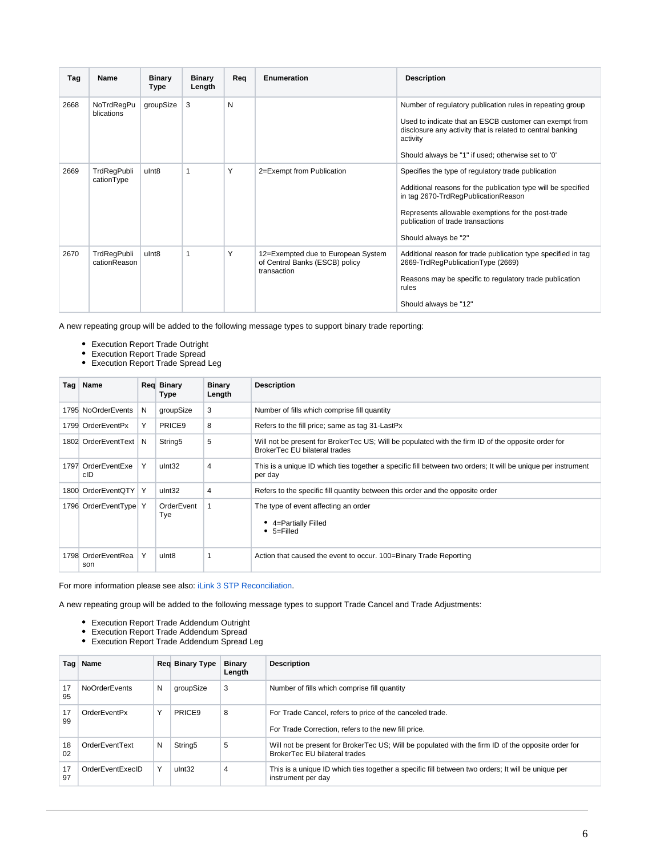| Tag  | Name                        | <b>Binary</b><br>Type | <b>Binary</b><br>Length | Reg | Enumeration                                                                         | <b>Description</b>                                                                                                                                                                                                                                                            |
|------|-----------------------------|-----------------------|-------------------------|-----|-------------------------------------------------------------------------------------|-------------------------------------------------------------------------------------------------------------------------------------------------------------------------------------------------------------------------------------------------------------------------------|
| 2668 | NoTrdRegPu<br>blications    | groupSize             | 3                       | N   |                                                                                     | Number of regulatory publication rules in repeating group<br>Used to indicate that an ESCB customer can exempt from<br>disclosure any activity that is related to central banking<br>activity<br>Should always be "1" if used; otherwise set to '0'                           |
| 2669 | TrdRegPubli<br>cationType   | ulnt <sub>8</sub>     |                         | Y   | 2=Exempt from Publication                                                           | Specifies the type of regulatory trade publication<br>Additional reasons for the publication type will be specified<br>in tag 2670-TrdRegPublicationReason<br>Represents allowable exemptions for the post-trade<br>publication of trade transactions<br>Should always be "2" |
| 2670 | TrdRegPubli<br>cationReason | ulnt <sub>8</sub>     |                         | Y   | 12=Exempted due to European System<br>of Central Banks (ESCB) policy<br>transaction | Additional reason for trade publication type specified in tag<br>2669-TrdRegPublicationType (2669)<br>Reasons may be specific to regulatory trade publication<br>rules<br>Should always be "12"                                                                               |

A new repeating group will be added to the following message types to support binary trade reporting:

- Execution Report Trade Outright
- Execution Report Trade Spread
- Execution Report Trade Spread Leg

| Tag | Name                      |   | <b>Reg Binary</b><br>Type | <b>Binary</b><br>Length | <b>Description</b>                                                                                                                  |
|-----|---------------------------|---|---------------------------|-------------------------|-------------------------------------------------------------------------------------------------------------------------------------|
|     | 1795 NoOrderEvents        | N | groupSize                 | 3                       | Number of fills which comprise fill quantity                                                                                        |
|     | 1799 OrderEventPx         | Y | PRICE <sub>9</sub>        | 8                       | Refers to the fill price; same as tag 31-LastPx                                                                                     |
|     | 1802 OrderEventText       | N | String5                   | 5                       | Will not be present for BrokerTec US; Will be populated with the firm ID of the opposite order for<br>BrokerTec EU bilateral trades |
|     | 1797 OrderEventExe<br>cID | Y | ulnt32                    | 4                       | This is a unique ID which ties together a specific fill between two orders; It will be unique per instrument<br>per day             |
|     | 1800 OrderEventQTY   Y    |   | ulnt32                    | 4                       | Refers to the specific fill quantity between this order and the opposite order                                                      |
|     | 1796 OrderEventType Y     |   | OrderEvent<br>Tye         |                         | The type of event affecting an order<br>4=Partially Filled<br>$• 5 =$ Filled                                                        |
|     | 1798 OrderEventRea<br>son |   | ulnt <sub>8</sub>         |                         | Action that caused the event to occur. 100=Binary Trade Reporting                                                                   |

For more information please see also: [iLink 3 STP Reconciliation.](https://www.cmegroup.com/confluence/display/EPICSANDBOX/iLink+3+STP+Reconciliation)

A new repeating group will be added to the following message types to support Trade Cancel and Trade Adjustments:

- Execution Report Trade Addendum Outright
- Execution Report Trade Addendum Spread
- Execution Report Trade Addendum Spread Leg

| Taq∣     | Name                 |   | <b>Red Binary Type</b> | <b>Binary</b><br>Length | <b>Description</b>                                                                                                                  |
|----------|----------------------|---|------------------------|-------------------------|-------------------------------------------------------------------------------------------------------------------------------------|
| 17<br>95 | <b>NoOrderEvents</b> | N | groupSize              | 3                       | Number of fills which comprise fill quantity                                                                                        |
| 17<br>99 | OrderEventPx         |   | PRICE <sub>9</sub>     | 8                       | For Trade Cancel, refers to price of the canceled trade.<br>For Trade Correction, refers to the new fill price.                     |
| 18<br>02 | OrderEventText       | N | String <sub>5</sub>    | 5                       | Will not be present for BrokerTec US; Will be populated with the firm ID of the opposite order for<br>BrokerTec EU bilateral trades |
| 17<br>97 | OrderEventExecID     |   | ulnt32                 | 4                       | This is a unique ID which ties together a specific fill between two orders; It will be unique per<br>instrument per day             |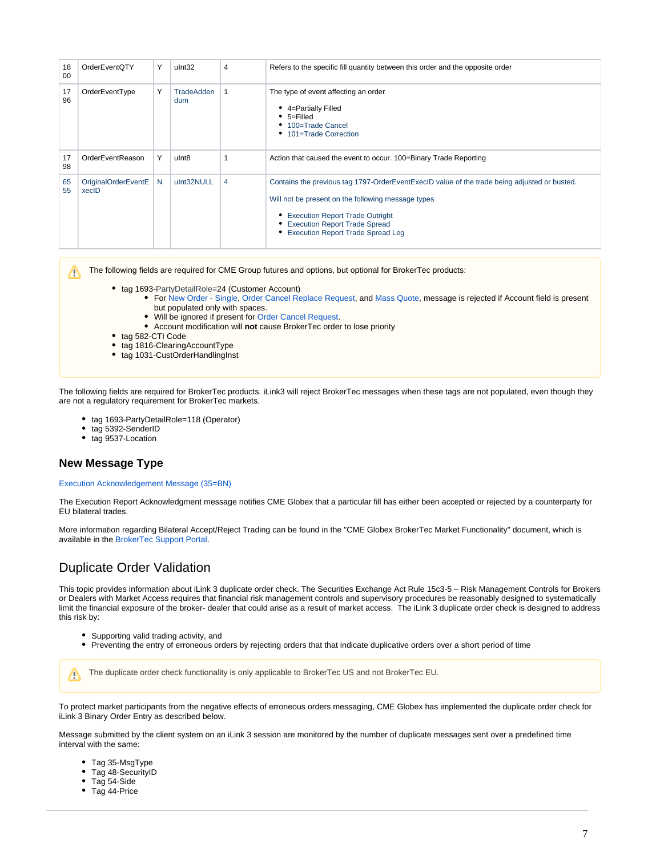| 18<br>00 | <b>OrderEventQTY</b>         | Y  | ulnt32                   | 4 | Refers to the specific fill quantity between this order and the opposite order                                                                                                                                                                                         |
|----------|------------------------------|----|--------------------------|---|------------------------------------------------------------------------------------------------------------------------------------------------------------------------------------------------------------------------------------------------------------------------|
| 17<br>96 | OrderEventType               | Υ  | <b>TradeAdden</b><br>dum |   | The type of event affecting an order<br>4=Partially Filled<br>$• 5 =$ Filled<br>• 100=Trade Cancel<br>• 101=Trade Correction                                                                                                                                           |
| 17<br>98 | OrderEventReason             | Υ  | ulnt8                    |   | Action that caused the event to occur. 100=Binary Trade Reporting                                                                                                                                                                                                      |
| 65<br>55 | OriginalOrderEventE<br>xecID | N. | ulnt32NULL               | 4 | Contains the previous tag 1797-OrderEventExecID value of the trade being adjusted or busted.<br>Will not be present on the following message types<br>• Execution Report Trade Outright<br><b>Execution Report Trade Spread</b><br>• Execution Report Trade Spread Leg |

The following fields are required for CME Group futures and options, but optional for BrokerTec products:

- tag 1693-PartyDetailRole=24 (Customer Account)
	- For [New Order Single](https://www.cmegroup.com/confluence/display/EPICSANDBOX/iLink+3+New+Order+-+Single), [Order Cancel Replace Request,](https://www.cmegroup.com/confluence/display/EPICSANDBOX/iLink+3+Order+Cancel+Replace+Request) and [Mass Quote](https://www.cmegroup.com/confluence/display/EPICSANDBOX/iLink+3+Mass+Quote), message is rejected if Account field is present
	- but populated only with spaces.
	- Will be ignored if present for [Order Cancel Request](https://www.cmegroup.com/confluence/display/EPICSANDBOX/iLink+3+Order+Cancel+Request).
	- Account modification will **not** cause BrokerTec order to lose priority
- tag 582-CTI Code
- tag 1816-ClearingAccountType
- tag 1031-CustOrderHandlingInst

The following fields are required for BrokerTec products. iLink3 will reject BrokerTec messages when these tags are not populated, even though they are not a regulatory requirement for BrokerTec markets.

- tag 1693-PartyDetailRole=118 (Operator)  $\bullet$
- tag 5392-SenderID
- tag 9537-Location

### <span id="page-6-0"></span>**New Message Type**

Λ

#### [Execution Acknowledgement Message \(35=BN\)](https://www.cmegroup.com/confluence/display/EPICSANDBOX/iLink+3+Execution+Acknowledgment)

The Execution Report Acknowledgment message notifies CME Globex that a particular fill has either been accepted or rejected by a counterparty for EU bilateral trades.

More information regarding Bilateral Accept/Reject Trading can be found in the "CME Globex BrokerTec Market Functionality" document, which is available in the [BrokerTec Support Portal](https://support.brokertec.com/Repository/omnet-api/integrationofbrokertecontocmeglobex).

## <span id="page-6-1"></span>Duplicate Order Validation

This topic provides information about iLink 3 duplicate order check. The Securities Exchange Act Rule 15c3-5 – Risk Management Controls for Brokers or Dealers with Market Access requires that financial risk management controls and supervisory procedures be reasonably designed to systematically limit the financial exposure of the broker- dealer that could arise as a result of market access. The iLink 3 duplicate order check is designed to address this risk by:

- Supporting valid trading activity, and
- Preventing the entry of erroneous orders by rejecting orders that that indicate duplicative orders over a short period of time

The duplicate order check functionality is only applicable to BrokerTec US and not BrokerTec EU.Λ

To protect market participants from the negative effects of erroneous orders messaging, CME Globex has implemented the duplicate order check for iLink 3 Binary Order Entry as described below.

Message submitted by the client system on an iLink 3 session are monitored by the number of duplicate messages sent over a predefined time interval with the same:

- Tag 35-MsgType
- Tag 48-SecurityID
- Tag 54-Side
- Tag 44-Price